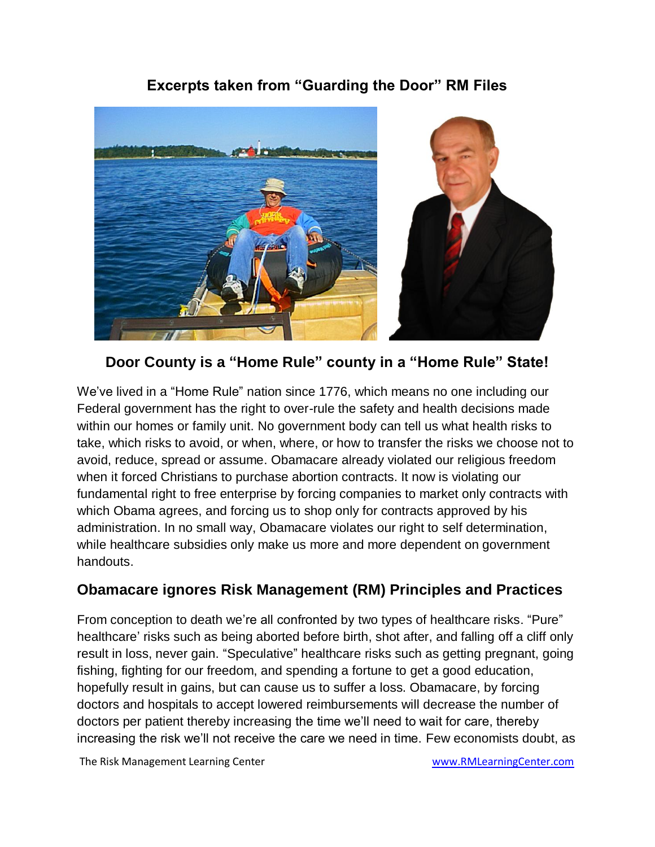## **Excerpts taken from "Guarding the Door" RM Files**



**Door County is a "Home Rule" county in a "Home Rule" State!**

We've lived in a "Home Rule" nation since 1776, which means no one including our Federal government has the right to over-rule the safety and health decisions made within our homes or family unit. No government body can tell us what health risks to take, which risks to avoid, or when, where, or how to transfer the risks we choose not to avoid, reduce, spread or assume. Obamacare already violated our religious freedom when it forced Christians to purchase abortion contracts. It now is violating our fundamental right to free enterprise by forcing companies to market only contracts with which Obama agrees, and forcing us to shop only for contracts approved by his administration. In no small way, Obamacare violates our right to self determination, while healthcare subsidies only make us more and more dependent on government handouts.

## **Obamacare ignores Risk Management (RM) Principles and Practices**

From conception to death we're all confronted by two types of healthcare risks. "Pure" healthcare' risks such as being aborted before birth, shot after, and falling off a cliff only result in loss, never gain. "Speculative" healthcare risks such as getting pregnant, going fishing, fighting for our freedom, and spending a fortune to get a good education, hopefully result in gains, but can cause us to suffer a loss. Obamacare, by forcing doctors and hospitals to accept lowered reimbursements will decrease the number of doctors per patient thereby increasing the time we'll need to wait for care, thereby increasing the risk we'll not receive the care we need in time. Few economists doubt, as

The Risk Management Learning Center www.RMLearningCenter.com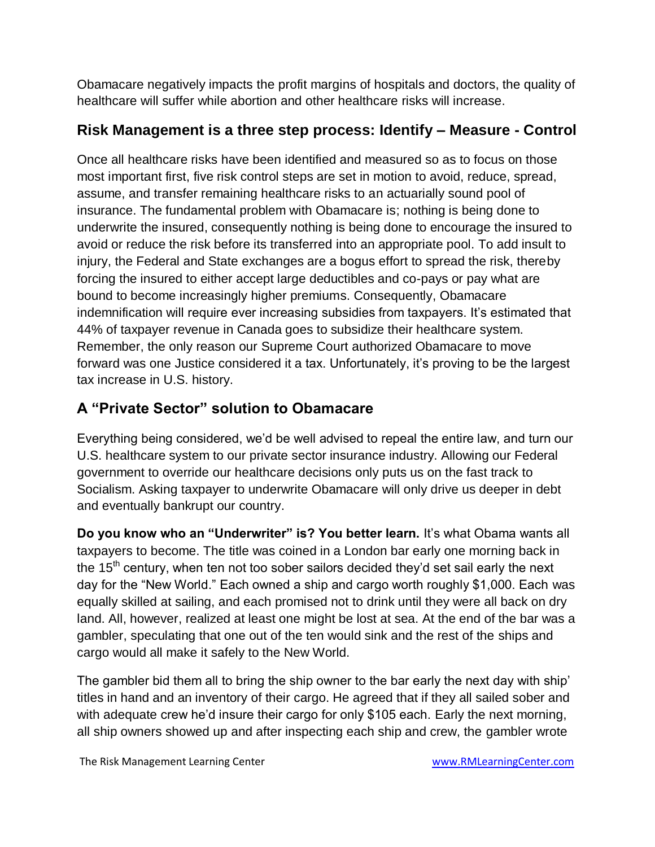Obamacare negatively impacts the profit margins of hospitals and doctors, the quality of healthcare will suffer while abortion and other healthcare risks will increase.

# **Risk Management is a three step process: Identify – Measure - Control**

Once all healthcare risks have been identified and measured so as to focus on those most important first, five risk control steps are set in motion to avoid, reduce, spread, assume, and transfer remaining healthcare risks to an actuarially sound pool of insurance. The fundamental problem with Obamacare is; nothing is being done to underwrite the insured, consequently nothing is being done to encourage the insured to avoid or reduce the risk before its transferred into an appropriate pool. To add insult to injury, the Federal and State exchanges are a bogus effort to spread the risk, thereby forcing the insured to either accept large deductibles and co-pays or pay what are bound to become increasingly higher premiums. Consequently, Obamacare indemnification will require ever increasing subsidies from taxpayers. It's estimated that 44% of taxpayer revenue in Canada goes to subsidize their healthcare system. Remember, the only reason our Supreme Court authorized Obamacare to move forward was one Justice considered it a tax. Unfortunately, it's proving to be the largest tax increase in U.S. history.

# **A "Private Sector" solution to Obamacare**

Everything being considered, we'd be well advised to repeal the entire law, and turn our U.S. healthcare system to our private sector insurance industry. Allowing our Federal government to override our healthcare decisions only puts us on the fast track to Socialism. Asking taxpayer to underwrite Obamacare will only drive us deeper in debt and eventually bankrupt our country.

**Do you know who an "Underwriter" is? You better learn.** It's what Obama wants all taxpayers to become. The title was coined in a London bar early one morning back in the  $15<sup>th</sup>$  century, when ten not too sober sailors decided they'd set sail early the next day for the "New World." Each owned a ship and cargo worth roughly \$1,000. Each was equally skilled at sailing, and each promised not to drink until they were all back on dry land. All, however, realized at least one might be lost at sea. At the end of the bar was a gambler, speculating that one out of the ten would sink and the rest of the ships and cargo would all make it safely to the New World.

The gambler bid them all to bring the ship owner to the bar early the next day with ship' titles in hand and an inventory of their cargo. He agreed that if they all sailed sober and with adequate crew he'd insure their cargo for only \$105 each. Early the next morning, all ship owners showed up and after inspecting each ship and crew, the gambler wrote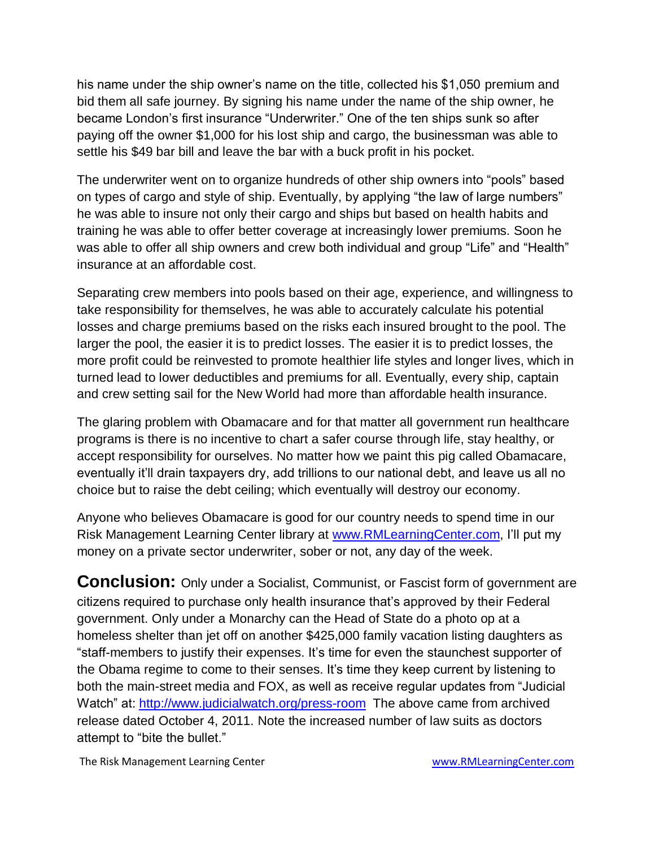his name under the ship owner's name on the title, collected his \$1,050 premium and bid them all safe journey. By signing his name under the name of the ship owner, he became London's first insurance "Underwriter." One of the ten ships sunk so after paying off the owner \$1,000 for his lost ship and cargo, the businessman was able to settle his \$49 bar bill and leave the bar with a buck profit in his pocket.

The underwriter went on to organize hundreds of other ship owners into "pools" based on types of cargo and style of ship. Eventually, by applying "the law of large numbers" he was able to insure not only their cargo and ships but based on health habits and training he was able to offer better coverage at increasingly lower premiums. Soon he was able to offer all ship owners and crew both individual and group "Life" and "Health" insurance at an affordable cost.

Separating crew members into pools based on their age, experience, and willingness to take responsibility for themselves, he was able to accurately calculate his potential losses and charge premiums based on the risks each insured brought to the pool. The larger the pool, the easier it is to predict losses. The easier it is to predict losses, the more profit could be reinvested to promote healthier life styles and longer lives, which in turned lead to lower deductibles and premiums for all. Eventually, every ship, captain and crew setting sail for the New World had more than affordable health insurance.

The glaring problem with Obamacare and for that matter all government run healthcare programs is there is no incentive to chart a safer course through life, stay healthy, or accept responsibility for ourselves. No matter how we paint this pig called Obamacare, eventually it'll drain taxpayers dry, add trillions to our national debt, and leave us all no choice but to raise the debt ceiling; which eventually will destroy our economy.

Anyone who believes Obamacare is good for our country needs to spend time in our Risk Management Learning Center library at [www.RMLearningCenter.com,](http://www.rmlearningcenter.com/) I'll put my money on a private sector underwriter, sober or not, any day of the week.

**Conclusion:** Only under a Socialist, Communist, or Fascist form of government are citizens required to purchase only health insurance that's approved by their Federal government. Only under a Monarchy can the Head of State do a photo op at a homeless shelter than jet off on another \$425,000 family vacation listing daughters as "staff-members to justify their expenses. It's time for even the staunchest supporter of the Obama regime to come to their senses. It's time they keep current by listening to both the main-street media and FOX, as well as receive regular updates from "Judicial Watch" at:<http://www.judicialwatch.org/press-room>The above came from archived release dated October 4, 2011. Note the increased number of law suits as doctors attempt to "bite the bullet."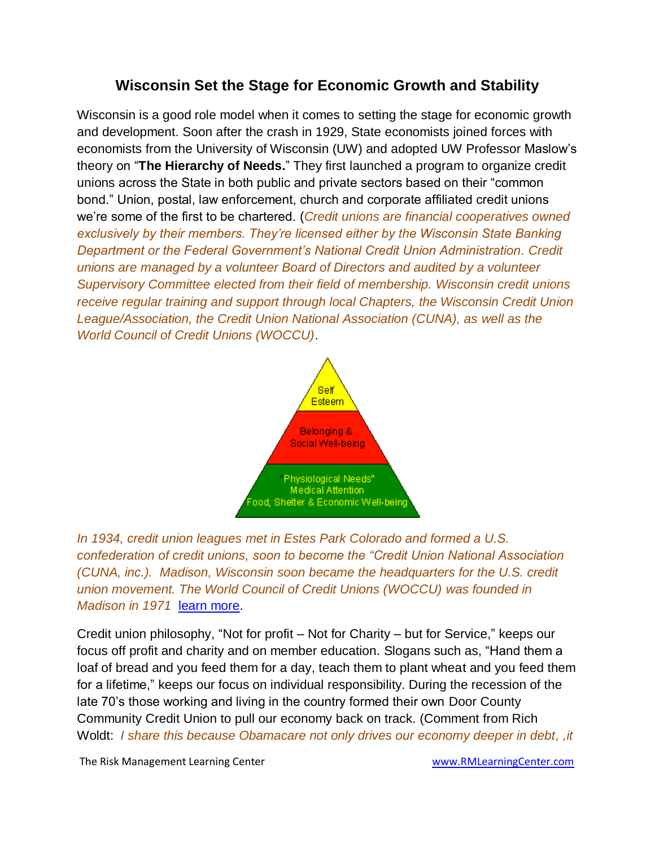### **Wisconsin Set the Stage for Economic Growth and Stability**

Wisconsin is a good role model when it comes to setting the stage for economic growth and development. Soon after the crash in 1929, State economists joined forces with economists from the University of Wisconsin (UW) and adopted UW Professor Maslow's theory on "**The Hierarchy of Needs.**" They first launched a program to organize credit unions across the State in both public and private sectors based on their "common bond." Union, postal, law enforcement, church and corporate affiliated credit unions we're some of the first to be chartered. (*Credit unions are financial cooperatives owned exclusively by their members. They're licensed either by the Wisconsin State Banking Department or the Federal Government's National Credit Union Administration. Credit unions are managed by a volunteer Board of Directors and audited by a volunteer Supervisory Committee elected from their field of membership. Wisconsin credit unions receive regular training and support through local Chapters, the Wisconsin Credit Union League/Association, the Credit Union National Association (CUNA), as well as the World Council of Credit Unions (WOCCU)*.



*In 1934, credit union leagues met in Estes Park Colorado and formed a U.S. confederation of credit unions, soon to become the "Credit Union National Association (CUNA, inc.). Madison, Wisconsin soon became the headquarters for the U.S. credit union movement. The World Council of Credit Unions (WOCCU) was founded in Madison in 1971* [learn more.](file:///C:/Documents%20and%20Settings/Admin/My%20Documents/My%20Web%20Sites/www.rmlearningcenter.com/2009_cu_history.htm)

Credit union philosophy, "Not for profit – Not for Charity – but for Service," keeps our focus off profit and charity and on member education. Slogans such as, "Hand them a loaf of bread and you feed them for a day, teach them to plant wheat and you feed them for a lifetime," keeps our focus on individual responsibility. During the recession of the late 70's those working and living in the country formed their own Door County Community Credit Union to pull our economy back on track. (Comment from Rich Woldt: *I share this because Obamacare not only drives our economy deeper in debt, ,it* 

The Risk Management Learning Center www.RMLearningCenter.com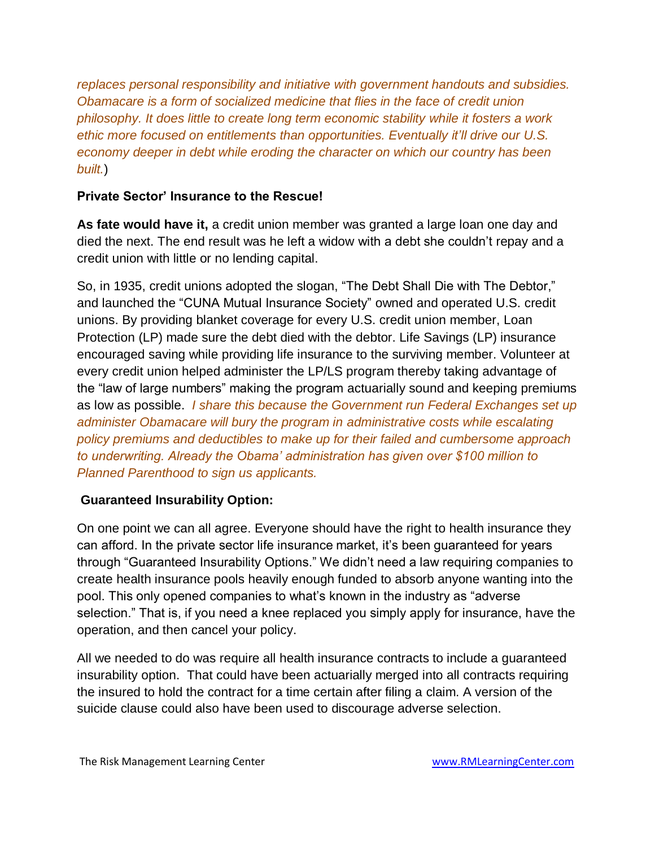*replaces personal responsibility and initiative with government handouts and subsidies. Obamacare is a form of socialized medicine that flies in the face of credit union philosophy. It does little to create long term economic stability while it fosters a work ethic more focused on entitlements than opportunities. Eventually it'll drive our U.S. economy deeper in debt while eroding the character on which our country has been built.*)

#### **Private Sector' Insurance to the Rescue!**

**As fate would have it,** a credit union member was granted a large loan one day and died the next. The end result was he left a widow with a debt she couldn't repay and a credit union with little or no lending capital.

So, in 1935, credit unions adopted the slogan, "The Debt Shall Die with The Debtor," and launched the "CUNA Mutual Insurance Society" owned and operated U.S. credit unions. By providing blanket coverage for every U.S. credit union member, Loan Protection (LP) made sure the debt died with the debtor. Life Savings (LP) insurance encouraged saving while providing life insurance to the surviving member. Volunteer at every credit union helped administer the LP/LS program thereby taking advantage of the "law of large numbers" making the program actuarially sound and keeping premiums as low as possible. *I share this because the Government run Federal Exchanges set up administer Obamacare will bury the program in administrative costs while escalating policy premiums and deductibles to make up for their failed and cumbersome approach to underwriting. Already the Obama' administration has given over \$100 million to Planned Parenthood to sign us applicants.*

#### **Guaranteed Insurability Option:**

On one point we can all agree. Everyone should have the right to health insurance they can afford. In the private sector life insurance market, it's been guaranteed for years through "Guaranteed Insurability Options." We didn't need a law requiring companies to create health insurance pools heavily enough funded to absorb anyone wanting into the pool. This only opened companies to what's known in the industry as "adverse selection." That is, if you need a knee replaced you simply apply for insurance, have the operation, and then cancel your policy.

All we needed to do was require all health insurance contracts to include a guaranteed insurability option. That could have been actuarially merged into all contracts requiring the insured to hold the contract for a time certain after filing a claim. A version of the suicide clause could also have been used to discourage adverse selection.